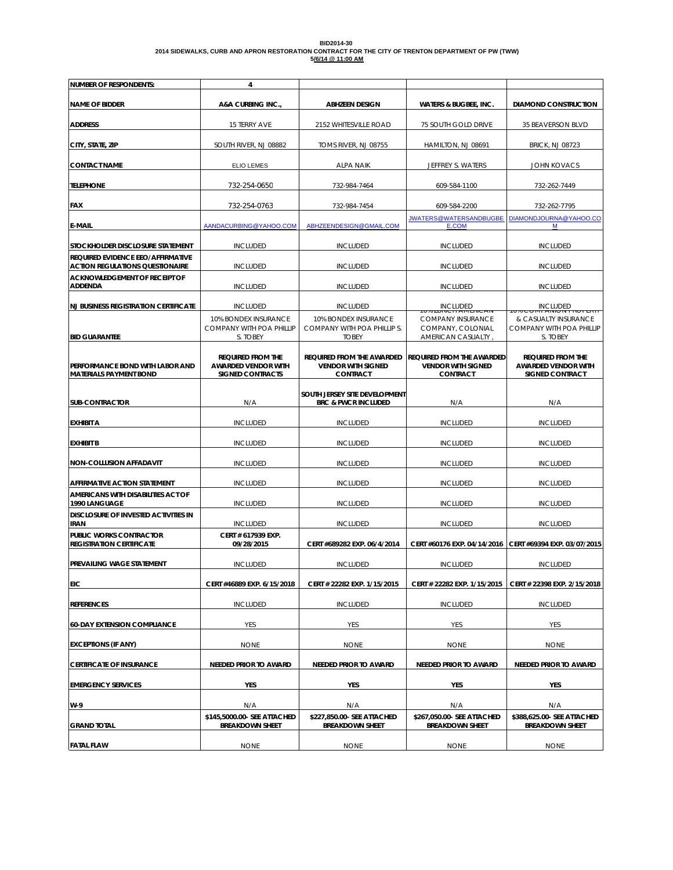| BID2014-30                                                                                         |  |
|----------------------------------------------------------------------------------------------------|--|
| 2014 SIDEWALKS, CURB AND APRON RESTORATION CONTRACT FOR THE CITY OF TRENTON DEPARTMENT OF PW (TWW) |  |
| 5/6/14 @ 11:00 AM                                                                                  |  |

| <b>NUMBER OF RESPONDENTS:</b>                                               | 4                                                                                 |                                                                                  |                                                                                  |                                                                                  |
|-----------------------------------------------------------------------------|-----------------------------------------------------------------------------------|----------------------------------------------------------------------------------|----------------------------------------------------------------------------------|----------------------------------------------------------------------------------|
| <b>NAME OF BIDDER</b>                                                       | A&A CURBING INC.,                                                                 | <b>ABHZEEN DESIGN</b>                                                            | <b>WATERS &amp; BUGBEE, INC.</b>                                                 | <b>DIAMOND CONSTRUCTION</b>                                                      |
| <b>ADDRESS</b>                                                              | 15 TERRY AVE                                                                      | 2152 WHITESVILLE ROAD                                                            | 75 SOUTH GOLD DRIVE                                                              | 35 BEAVERSON BLVD                                                                |
| CITY, STATE, ZIP                                                            | SOUTH RIVER, NJ 08882                                                             | TOMS RIVER, NJ 08755                                                             | HAMILTON, NJ 08691                                                               | <b>BRICK, NJ 08723</b>                                                           |
| <b>CONTACT NAME</b>                                                         | <b>ELIO LEMES</b>                                                                 | <b>ALPA NAIK</b>                                                                 | JEFFREY S. WATERS                                                                | <b>JOHN KOVACS</b>                                                               |
| <b>TELEPHONE</b>                                                            | 732-254-0650                                                                      | 732-984-7464                                                                     | 609-584-1100                                                                     | 732-262-7449                                                                     |
| <b>FAX</b>                                                                  | 732-254-0763                                                                      | 732-984-7454                                                                     | 609-584-2200                                                                     | 732-262-7795                                                                     |
| <b>E-MAIL</b>                                                               | AANDACURBING@YAHOO.COM                                                            | ABHZEENDESIGN@GMAIL.COM                                                          | <b>JWATERS@WATERSANDBUGBE</b><br>E.COM                                           | DIAMONDJOURNA@YAHOO.CO<br>М                                                      |
| STOCKHOLDER DISCLOSURE STATEMENT                                            | <b>INCLUDED</b>                                                                   | <b>INCLUDED</b>                                                                  | <b>INCLUDED</b>                                                                  | <b>INCLUDED</b>                                                                  |
| REQUIRED EVIDENCE EEO/AFFIRMATIVE<br><b>ACTION REGULATIONS QUESTIONAIRE</b> | <b>INCLUDED</b>                                                                   | <b>INCLUDED</b>                                                                  | <b>INCLUDED</b>                                                                  | <b>INCLUDED</b>                                                                  |
| <b>ACKNOWLEDGEMENT OF RECEIPT OF</b><br><b>ADDENDA</b>                      | <b>INCLUDED</b>                                                                   | <b>INCLUDED</b>                                                                  | <b>INCLUDED</b>                                                                  | <b>INCLUDED</b>                                                                  |
| <b>NJ BUSINESS REGISTRATION CERTIFICATE</b>                                 | <b>INCLUDED</b>                                                                   | <b>INCLUDED</b>                                                                  | <b>INCLUDED</b>                                                                  | <b>INCLUDED</b>                                                                  |
|                                                                             | 10% BONDEX INSURANCE                                                              | 10% BONDEX INSURANCE                                                             | <b>COMPANY INSURANCE</b>                                                         | & CASUALTY INSURANCE                                                             |
| <b>BID GUARANTEE</b>                                                        | <b>COMPANY WITH POA PHILLIP</b><br>S. TOBEY                                       | COMPANY WITH POA PHILLIP S.<br><b>TOBEY</b>                                      | COMPANY, COLONIAL<br>AMERICAN CASUALTY                                           | <b>COMPANY WITH POA PHILLIP</b><br>S. TOBEY                                      |
| <b>PERFORMANCE BOND WITH LABOR AND</b><br><b>MATERIALS PAYMENT BOND</b>     | <b>REQUIRED FROM THE</b><br><b>AWARDED VENDOR WITH</b><br><b>SIGNED CONTRACTS</b> | <b>REQUIRED FROM THE AWARDED</b><br><b>VENDOR WITH SIGNED</b><br><b>CONTRACT</b> | <b>REQUIRED FROM THE AWARDED</b><br><b>VENDOR WITH SIGNED</b><br><b>CONTRACT</b> | <b>REQUIRED FROM THE</b><br><b>AWARDED VENDOR WITH</b><br><b>SIGNED CONTRACT</b> |
|                                                                             |                                                                                   |                                                                                  |                                                                                  |                                                                                  |
| <b>SUB-CONTRACTOR</b>                                                       | N/A                                                                               | SOUTH JERSEY SITE DEVELOPMENT<br><b>BRC &amp; PWCR INCLUDED</b>                  | N/A                                                                              | N/A                                                                              |
| <b>EXHIBIT A</b>                                                            | <b>INCLUDED</b>                                                                   | <b>INCLUDED</b>                                                                  | <b>INCLUDED</b>                                                                  | <b>INCLUDED</b>                                                                  |
| <b>EXHIBIT B</b>                                                            | <b>INCLUDED</b>                                                                   | <b>INCLUDED</b>                                                                  | <b>INCLUDED</b>                                                                  | <b>INCLUDED</b>                                                                  |
| <b>NON-COLLUSION AFFADAVIT</b>                                              | <b>INCLUDED</b>                                                                   | <b>INCLUDED</b>                                                                  | <b>INCLUDED</b>                                                                  | <b>INCLUDED</b>                                                                  |
| AFFIRMATIVE ACTION STATEMENT                                                | <b>INCLUDED</b>                                                                   | <b>INCLUDED</b>                                                                  | <b>INCLUDED</b>                                                                  | <b>INCLUDED</b>                                                                  |
| AMERICANS WITH DISABILITIES ACT OF<br>1990 LANGUAGE                         | <b>INCLUDED</b>                                                                   | <b>INCLUDED</b>                                                                  | <b>INCLUDED</b>                                                                  | <b>INCLUDED</b>                                                                  |
| DISCLOSURE OF INVESTED ACTIVITIES IN<br><b>IRAN</b>                         | <b>INCLUDED</b>                                                                   | <b>INCLUDED</b>                                                                  | <b>INCLUDED</b>                                                                  | <b>INCLUDED</b>                                                                  |
| <b>PUBLIC WORKS CONTRACTOR</b><br><b>REGISTRATION CERTIFICATE</b>           | CERT # 617939 EXP.<br>09/28/2015                                                  | CERT #689282 EXP. 06/4/2014                                                      | CERT #60176 EXP. 04/14/2016                                                      | CERT #69394 EXP. 03/07/2015                                                      |
| <b>PREVAILING WAGE STATEMENT</b>                                            | <b>INCLUDED</b>                                                                   | <b>INCLUDED</b>                                                                  | <b>INCLUDED</b>                                                                  | <b>INCLUDED</b>                                                                  |
| EIC                                                                         | CERT #46889 EXP. 6/15/2018                                                        | CERT # 22282 EXP. 1/15/2015                                                      | CERT # 22282 EXP. 1/15/2015                                                      | CERT # 22398 EXP. 2/15/2018                                                      |
| <b>REFERENCES</b>                                                           | <b>INCLUDED</b>                                                                   | <b>INCLUDED</b>                                                                  | <b>INCLUDED</b>                                                                  | <b>INCLUDED</b>                                                                  |
| <b>60-DAY EXTENSION COMPLIANCE</b>                                          | YES                                                                               | YES                                                                              | YES                                                                              | YES                                                                              |
| <b>EXCEPTIONS (IF ANY)</b>                                                  | <b>NONE</b>                                                                       | <b>NONE</b>                                                                      | <b>NONE</b>                                                                      | <b>NONE</b>                                                                      |
| <b>CERTIFICATE OF INSURANCE</b>                                             | <b>NEEDED PRIOR TO AWARD</b>                                                      | <b>NEEDED PRIOR TO AWARD</b>                                                     | <b>NEEDED PRIOR TO AWARD</b>                                                     | <b>NEEDED PRIOR TO AWARD</b>                                                     |
| <b>EMERGENCY SERVICES</b>                                                   | YES                                                                               | YES                                                                              | YES                                                                              | YES                                                                              |
| W-9                                                                         | N/A                                                                               | N/A                                                                              | N/A                                                                              | N/A                                                                              |
| <b>GRAND TOTAL</b>                                                          | \$145,5000.00- SEE ATTACHED<br><b>BREAKDOWN SHEET</b>                             | \$227,850.00- SEE ATTACHED<br><b>BREAKDOWN SHEET</b>                             | \$267,050.00- SEE ATTACHED<br><b>BREAKDOWN SHEET</b>                             | \$388,625.00- SEE ATTACHED<br><b>BREAKDOWN SHEET</b>                             |
| <b>FATAL FLAW</b>                                                           | <b>NONE</b>                                                                       | <b>NONE</b>                                                                      | <b>NONE</b>                                                                      | <b>NONE</b>                                                                      |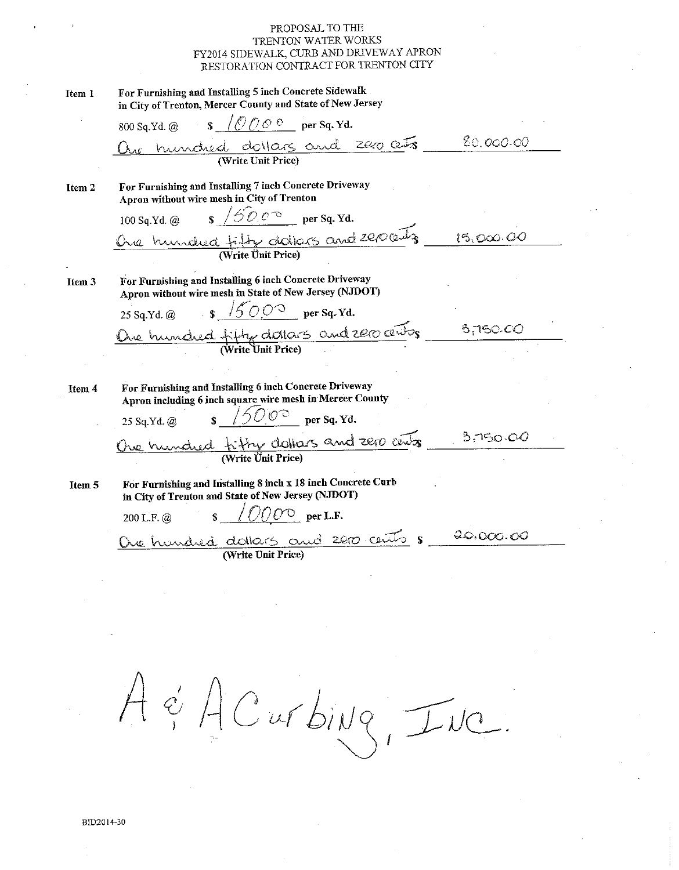$\mathbf{r}$   $\alpha$  .  $\ldots$   $\alpha$   $\alpha$   $\alpha$   $\alpha$ 

| Item 1            | For Furnishing and Installing 5 inch Concrete Sidewalk<br>in City of Trenton, Mercer County and State of New Jersey                                                                                                                                                                                                                       |           |
|-------------------|-------------------------------------------------------------------------------------------------------------------------------------------------------------------------------------------------------------------------------------------------------------------------------------------------------------------------------------------|-----------|
|                   | 800 Sq.Yd. @ $\qquad$ $\qquad$ $\qquad$ $\qquad$ $\qquad$ $\qquad$ $\qquad$ $\qquad$ $\qquad$ $\qquad$ $\qquad$ $\qquad$ $\qquad$ $\qquad$ $\qquad$ $\qquad$ $\qquad$ $\qquad$ $\qquad$ $\qquad$ $\qquad$ $\qquad$ $\qquad$ $\qquad$ $\qquad$ $\qquad$ $\qquad$ $\qquad$ $\qquad$ $\qquad$ $\qquad$ $\qquad$ $\qquad$ $\qquad$ $\qquad$   |           |
|                   | One hundred dollars and 200 cets                                                                                                                                                                                                                                                                                                          | 80.000.00 |
|                   |                                                                                                                                                                                                                                                                                                                                           |           |
| Item 2            | For Furnishing and Installing 7 inch Concrete Driveway<br>Apron without wire mesh in City of Trenton                                                                                                                                                                                                                                      |           |
|                   | 100 Sq.Yd. @ \$ $/50.0$ per Sq.Yd.                                                                                                                                                                                                                                                                                                        |           |
|                   | One hundred tity datas and 200 cents                                                                                                                                                                                                                                                                                                      | 15,000.00 |
|                   |                                                                                                                                                                                                                                                                                                                                           |           |
| Item <sub>3</sub> | For Furnishing and Installing 6 inch Concrete Driveway<br>Apron without wire mesh in State of New Jersey (NJDOT)                                                                                                                                                                                                                          |           |
|                   | 25 Sq.Yd. @ \$ $\sqrt{500^{\circ}}$ per Sq.Yd.                                                                                                                                                                                                                                                                                            |           |
|                   | One hundred fifty datars and 2000 cents                                                                                                                                                                                                                                                                                                   | 3,760.00  |
|                   |                                                                                                                                                                                                                                                                                                                                           |           |
|                   |                                                                                                                                                                                                                                                                                                                                           |           |
| Item 4            | For Furnishing and Installing 6 inch Concrete Driveway<br>Apron including 6 inch square wire mesh in Mercer County                                                                                                                                                                                                                        |           |
|                   | $\sqrt{50.0^{\circ}}$ per Sq. Yd.<br>25 Sq.Yd. @                                                                                                                                                                                                                                                                                          |           |
|                   | One hundred fifty dollars and zero cents _ 3,750.00                                                                                                                                                                                                                                                                                       |           |
|                   |                                                                                                                                                                                                                                                                                                                                           |           |
| Item 5            | For Furnishing and Installing 8 inch x 18 inch Concrete Curb<br>in City of Trenton and State of New Jersey (NJDOT)                                                                                                                                                                                                                        |           |
|                   | $\sqrt{\frac{1}{2}}$ / $\frac{1}{2}$ $\frac{1}{2}$ $\frac{1}{2}$ $\frac{1}{2}$ $\frac{1}{2}$ $\frac{1}{2}$ $\frac{1}{2}$ $\frac{1}{2}$ $\frac{1}{2}$ $\frac{1}{2}$ $\frac{1}{2}$ $\frac{1}{2}$ $\frac{1}{2}$ $\frac{1}{2}$ $\frac{1}{2}$ $\frac{1}{2}$ $\frac{1}{2}$ $\frac{1}{2}$ $\frac{1}{2}$ $\frac{1}{2}$ $\frac{1}{2$<br>200 L.F. @ |           |
|                   | Oue hundred dollars and 2000 cents 8<br>(Write Unit Price)                                                                                                                                                                                                                                                                                | 20,000.00 |
|                   |                                                                                                                                                                                                                                                                                                                                           |           |
|                   |                                                                                                                                                                                                                                                                                                                                           |           |

A & A C ur bing, Inc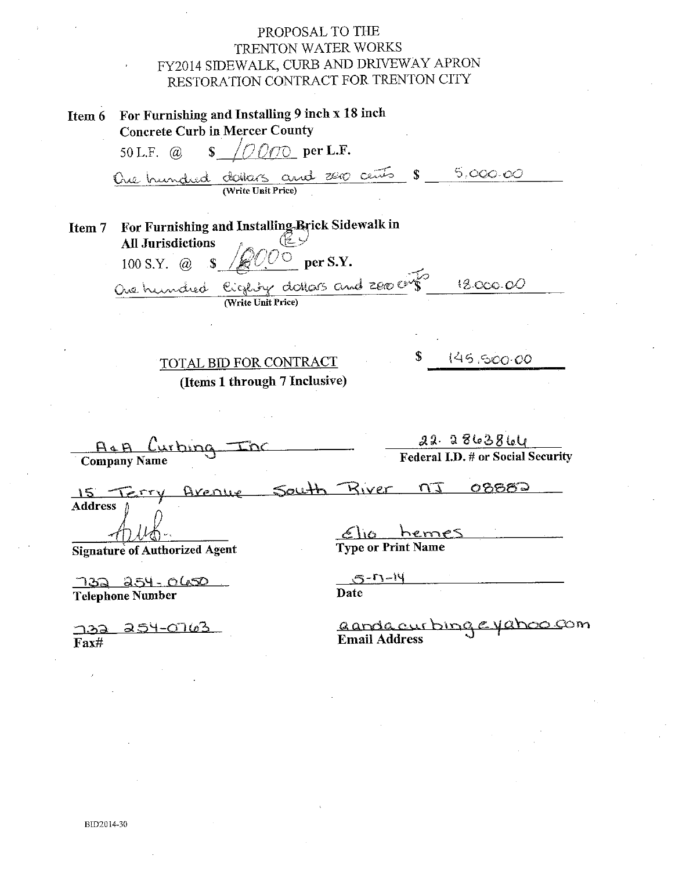$\mathbf{r}$ 

| Item 6<br>For Furnishing and Installing 9 men x 18 men<br><b>Concrete Curb in Mercer County</b>                                                   |                                                   |
|---------------------------------------------------------------------------------------------------------------------------------------------------|---------------------------------------------------|
| $\sqrt{OQ}$ per L.F.<br>50 L.F. $\omega$                                                                                                          |                                                   |
| One hundred doiters and 200 cents $s = 5,000.00$                                                                                                  |                                                   |
| For Furnishing and Installing Brick Sidewalk in<br>Item 7<br><b>All Jurisdictions</b><br>100 S.Y. @ \$ /<br>One hundred Cigeby datas and zee cits | per S.Y.<br>18.000.00                             |
| (Write Unit Price)                                                                                                                                |                                                   |
|                                                                                                                                                   |                                                   |
| TOTAL BID FOR CONTRACT                                                                                                                            | \$145,500.00                                      |
| (Items 1 through 7 Inclusive)                                                                                                                     |                                                   |
|                                                                                                                                                   |                                                   |
|                                                                                                                                                   | 22.2863864                                        |
| A&A Curbing Inc                                                                                                                                   | <b>Federal I.D. # or Social Security</b>          |
| 15 TErry Avenue South Biver 17 08882<br><b>Address</b>                                                                                            |                                                   |
| <b>Signature of Authorized Agent</b>                                                                                                              | $f_{10}$ hemes<br><b>Type or Print Name</b>       |
| 732 254-0650<br><b>Telephone Number</b>                                                                                                           | $5 - 7 - 14$<br>Date                              |
| <u> 32 254-0763</u><br>$\bf{F}$ ax#                                                                                                               | aanga curbing e yahoo com<br><b>Email Address</b> |
|                                                                                                                                                   |                                                   |

 $\bar{r}$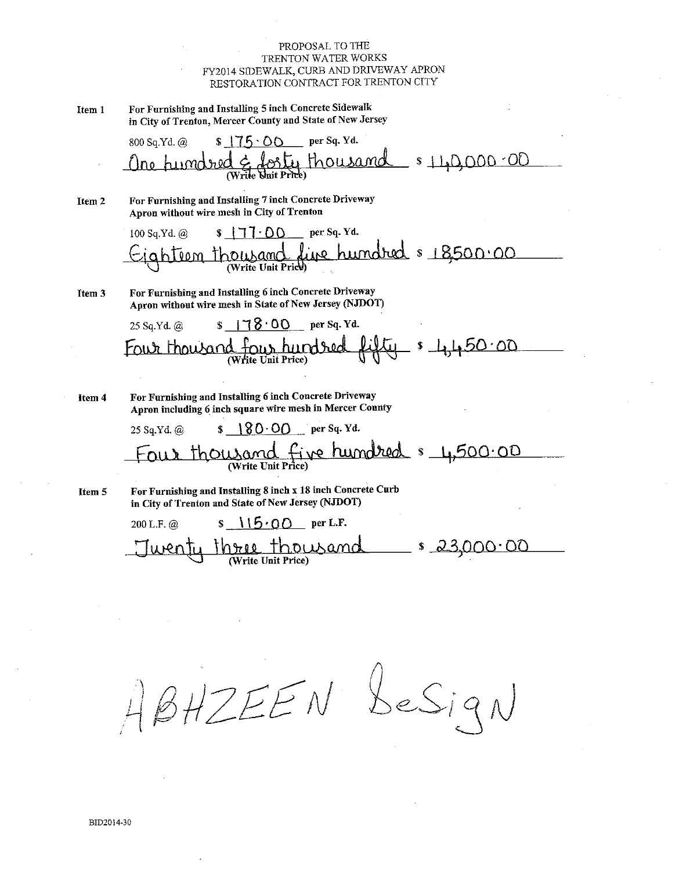For Furnishing and Installing 5 inch Concrete Sidewalk Item 1 in City of Trenton, Mercer County and State of New Jersey

> per Sq. Yd. 800 Sq.Yd. @  $s$  175.00  $$110,000.00$ thousand **Nnit Price**

For Furnishing and Installing 7 inch Concrete Driveway Item<sub>2</sub> Apron without wire mesh in City of Trenton

> per Sq. Yd. 100 Sq.Yd. @  $s$   $177.00$ rise hundred & 18500.00  $T<sub>00</sub>m$ Write Unit Price

For Furnishing and Installing 6 inch Concrete Driveway Item 3 Apron without wire mesh in State of New Jersey (NJDOT)

> $\sqrt{8.00}$  per Sq. Yd. 25 Sq.Yd. @  $=$   $1,450.00$ four hundred thowar Vrite Unit Price)

Item 4

For Furnishing and Installing 6 inch Concrete Driveway Apron including 6 inch square wire mesh in Mercer County

 $180.00$  per Sq. Yd. 25 Sa.Yd. @ our thousand five hundred & 4,500.00

Item 5

For Furnishing and Installing 8 inch x 18 inch Concrete Curb in City of Trenton and State of New Jersey (NJDOT)

 $15.00$  per L.F. 200 L.F. @  $\mathbf{s}$ <u>hree</u> thousand <u>s 23,000.00</u>

 $B H Z E E N$  besign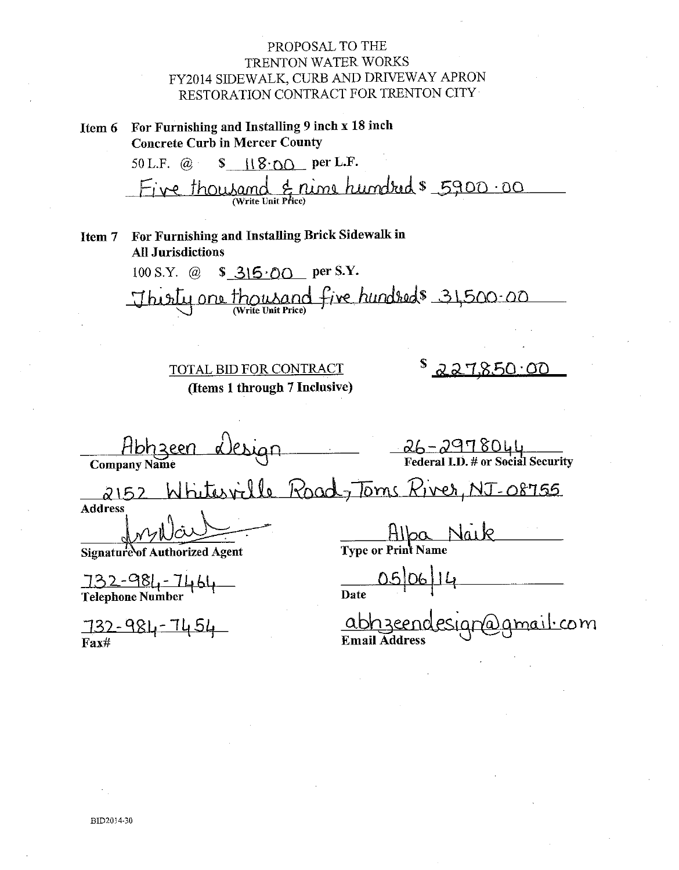Item 6 For Furnishing and Installing 9 inch x 18 inch **Concrete Curb in Mercer County** 

> 50 L.F.  $\omega$  **s**  $\left(\frac{1}{8}\right)$  per L.F. & nime hundred \$ 5900.00 Five thousand

Item 7 For Furnishing and Installing Brick Sidewalk in **All Jurisdictions** 

> 100 S.Y.  $\omega$  $$315.00$  per S.Y. Thisty one thousand five hundreds 31,500.00

TOTAL BID FOR CONTRACT (Items 1 through 7 Inclusive)

 $227850.00$ 

Hbh zeen

 $26 - 2978044$ <br>Federal I.D. # or Social Security

tesville Road, Toms River, NJ-08755  $2152$ **Address** 

Signature of Authorized Agent

 $\frac{732-981-7464}{\text{Telephone Number}}$ 

<u>732-984-7454</u>  $Fax#$ 

HIpa Naik

**Date** 

abhzee <u>amail·com</u> Email  $\bar{\mathbf{A}}$ ddres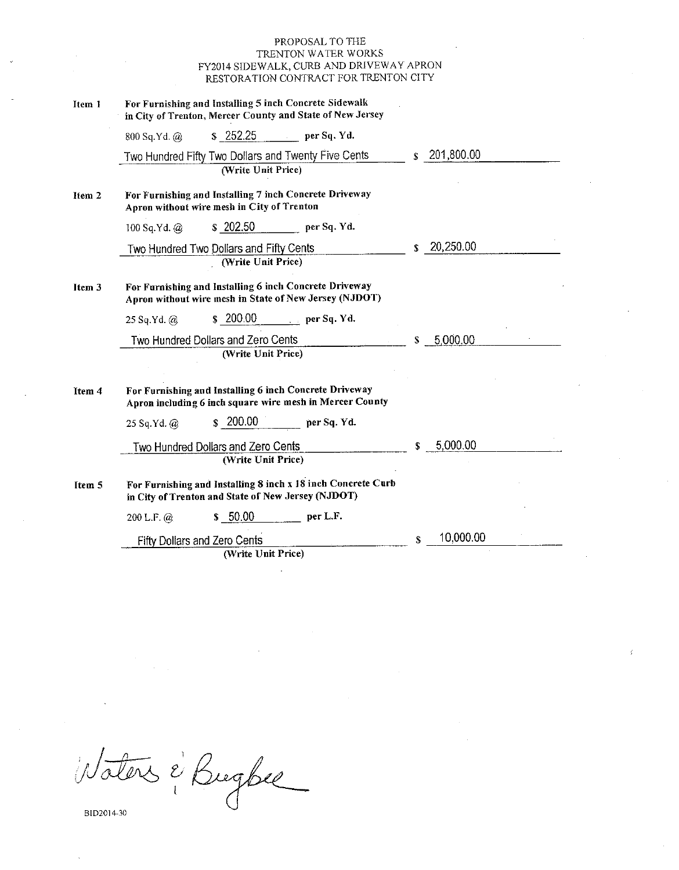| Item 1 | For Furnishing and Installing 5 inch Concrete Sidewalk<br>in City of Trenton, Mercer County and State of New Jersey |                        |
|--------|---------------------------------------------------------------------------------------------------------------------|------------------------|
|        | \$252.25<br>per Sq. Yd.<br>800 Sq.Yd. @                                                                             |                        |
|        | Two Hundred Fifty Two Dollars and Twenty Five Cents<br>(Write Unit Price)                                           | $\frac{1}{201,800.00}$ |
| Item 2 | For Furnishing and Installing 7 inch Concrete Driveway<br>Apron without wire mesh in City of Trenton                |                        |
|        | \$202.50<br>per Sq. Yd.<br>100 Sq.Yd. $@$                                                                           |                        |
|        | Two Hundred Two Dollars and Fifty Cents                                                                             | 20,250.00<br>S.        |
|        | (Write Unit Price)                                                                                                  |                        |
| Item 3 | For Furnishing and Installing 6 inch Concrete Driveway<br>Apron without wire mesh in State of New Jersey (NJDOT)    |                        |
|        | \$200.00<br>$\qquad \qquad$ per Sq. Yd.<br>$25$ Sq.Yd. $@$                                                          |                        |
|        | Two Hundred Dollars and Zero Cents                                                                                  | 5,000.00<br>S          |
|        | (Write Unit Price)                                                                                                  |                        |
| Item 4 | For Furnishing and Installing 6 inch Concrete Driveway<br>Apron including 6 inch square wire mesh in Mercer County  |                        |
|        | \$200.00<br>per Sq. Yd.<br>$25$ Sq.Yd. $@$                                                                          |                        |
|        | Two Hundred Dollars and Zero Cents                                                                                  | 5,000.00<br>S.         |
|        | (Write Unit Price)                                                                                                  |                        |
| Item 5 | For Furnishing and Installing 8 inch x 18 inch Concrete Curb<br>in City of Trenton and State of New Jersey (NJDOT)  |                        |
|        | \$50.00<br>per L.F.<br>200 L.F. $\omega$                                                                            |                        |
|        | <b>Fifty Dollars and Zero Cents</b>                                                                                 | 10,000.00<br>S         |
|        | (Write Unit Price)                                                                                                  |                        |

Waters & Bugbee

BID2014-30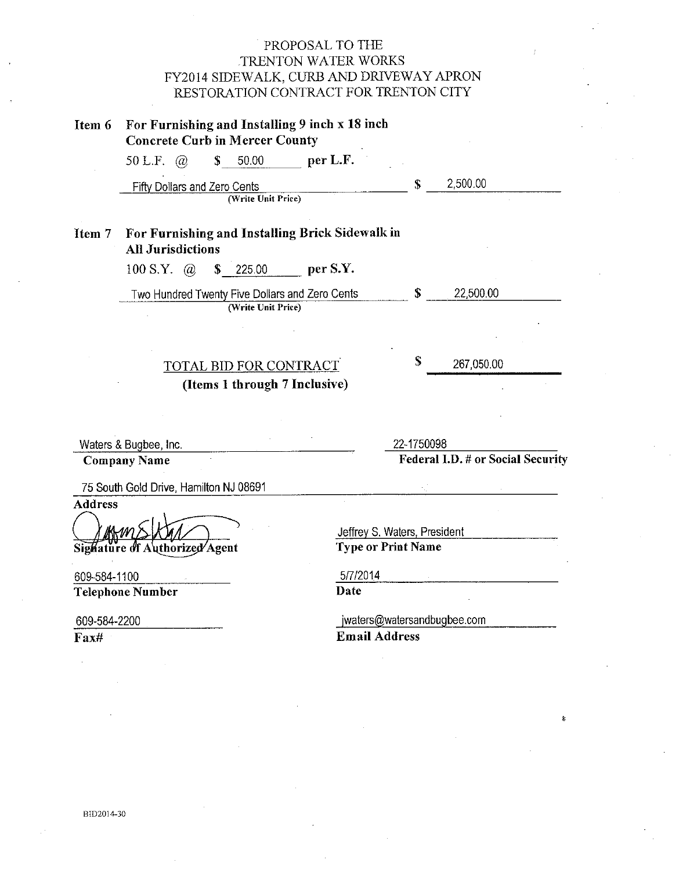| Item 6                                         | For Furnishing and Installing 9 inch x 18 inch | <b>Concrete Curb in Mercer County</b>                                |                  |                                                           |                                   |  |
|------------------------------------------------|------------------------------------------------|----------------------------------------------------------------------|------------------|-----------------------------------------------------------|-----------------------------------|--|
|                                                | 50 L.F. $\omega$                               | 50.00<br>\$                                                          | per L.F.         |                                                           |                                   |  |
|                                                | Fifty Dollars and Zero Cents                   |                                                                      |                  | \$                                                        | 2,500.00                          |  |
|                                                |                                                | (Write Unit Price)                                                   |                  |                                                           |                                   |  |
| Item 7                                         | <b>All Jurisdictions</b>                       | For Furnishing and Installing Brick Sidewalk in                      |                  |                                                           |                                   |  |
|                                                | 100 S.Y. $\omega$                              | \$<br>225.00                                                         | per S.Y.         |                                                           |                                   |  |
|                                                |                                                | Two Hundred Twenty Five Dollars and Zero Cents<br>(Write Unit Price) |                  | S                                                         | 22,500.00                         |  |
|                                                |                                                |                                                                      |                  |                                                           |                                   |  |
|                                                |                                                | <b>TOTAL BID FOR CONTRACT</b>                                        |                  | \$                                                        | 267,050.00                        |  |
|                                                |                                                | (Items 1 through 7 Inclusive)                                        |                  |                                                           |                                   |  |
|                                                |                                                |                                                                      |                  |                                                           |                                   |  |
|                                                |                                                |                                                                      |                  |                                                           |                                   |  |
|                                                |                                                |                                                                      |                  |                                                           |                                   |  |
|                                                | Waters & Bugbee, Inc.                          |                                                                      |                  | 22-1750098                                                |                                   |  |
|                                                | <b>Company Name</b>                            |                                                                      |                  |                                                           | Federal I.D. # or Social Security |  |
|                                                | 75 South Gold Drive, Hamilton NJ 08691         |                                                                      |                  |                                                           |                                   |  |
|                                                |                                                |                                                                      |                  |                                                           |                                   |  |
|                                                |                                                |                                                                      |                  |                                                           |                                   |  |
|                                                | Sighature of Authorized Agent                  |                                                                      |                  | Jeffrey S. Waters, President<br><b>Type or Print Name</b> |                                   |  |
|                                                |                                                |                                                                      |                  |                                                           |                                   |  |
|                                                | Telephone Number                               |                                                                      | 5/7/2014<br>Date |                                                           |                                   |  |
| <b>Address</b><br>609-584-1100<br>609-584-2200 |                                                |                                                                      |                  | jwaters@watersandbugbee.com                               |                                   |  |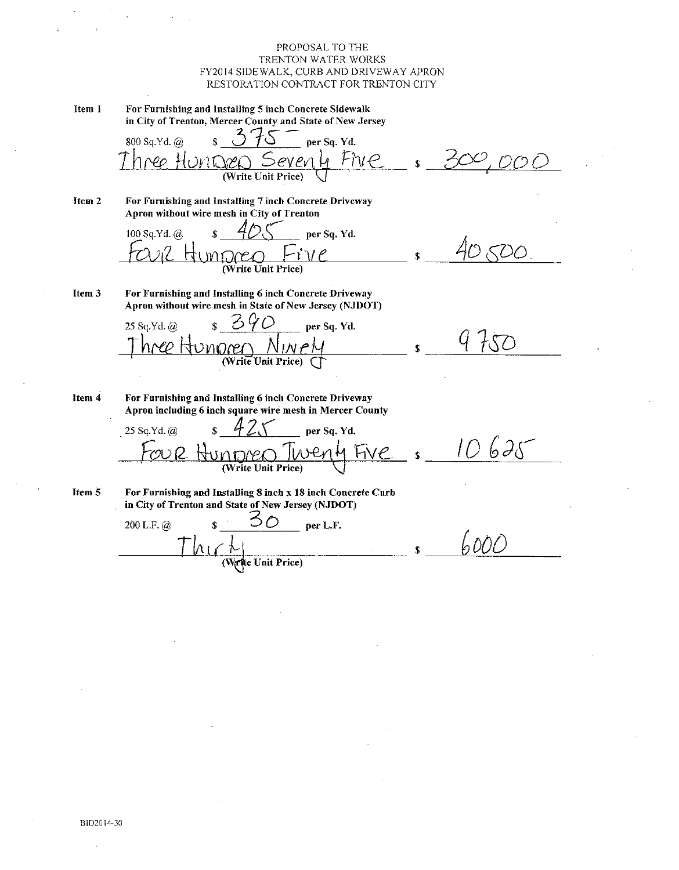Item 1 For Furnishing and Installing 5 inch Concrete Sidewalk in City of Trenton, Mercer County and State of New Jersey 800 Sq.Yd. @  $\mathbf{r}$ per Sq. Yd.  $F\gamma e$  $\mathcal{W}$ ∕⊇ (Write Unit Price) Item 2 For Furnishing and Installing 7 inch Concrete Driveway Apron without wire mesh in City of Trenton 100 Sq.Yd. @ per Sq. Yd. (Write Unit Price) For Furnishing and Installing 6 inch Concrete Driveway Item 3 Apron without wire mesh in State of New Jersey (NJDOT)  $7,0$  $\bigcirc$ 25 Sq.Yd. @ per Sq. Yd. (Write Unit Price) Item 4 For Furnishing and Installing 6 inch Concrete Driveway Apron including 6 inch square wire mesh in Mercer County per Sq. Yd. 25 Sq.Yd. @  $625$ (Write Unit Price) Item 5 For Furnishing and Installing 8 inch x 18 inch Concrete Curb in City of Trenton and State of New Jersey (NJDOT) 200 L.F.  $(a)$ per L.F. bÓÒ Write Unit Price)